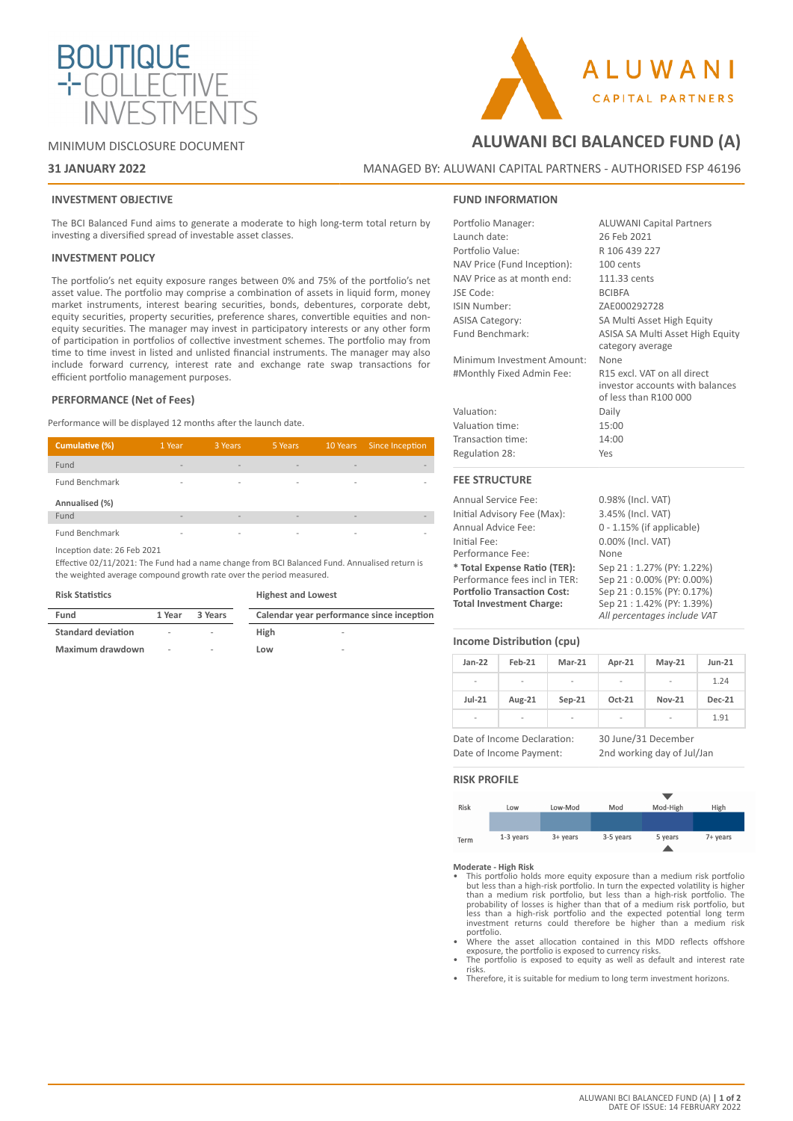

## MINIMUM DISCLOSURE DOCUMENT

# **31 JANUARY 2022**

# **ALUWANI BCI BALANCED FUND (A)**

**ALUWANI** 

**CAPITAL PARTNERS** 

MANAGED BY: ALUWANI CAPITAL PARTNERS - AUTHORISED FSP 46196

## **INVESTMENT OBJECTIVE**

The BCI Balanced Fund aims to generate a moderate to high long-term total return by investing a diversified spread of investable asset classes.

## **INVESTMENT POLICY**

The portfolio's net equity exposure ranges between 0% and 75% of the portfolio's net asset value. The portfolio may comprise a combination of assets in liquid form, money market instruments, interest bearing securities, bonds, debentures, corporate debt, equity securities, property securities, preference shares, convertible equities and nonequity securities. The manager may invest in participatory interests or any other form of participation in portfolios of collective investment schemes. The portfolio may from time to time invest in listed and unlisted financial instruments. The manager may also include forward currency, interest rate and exchange rate swap transactions for efficient portfolio management purposes.

## **PERFORMANCE (Net of Fees)**

Performance will be displayed 12 months after the launch date.

| Cumulative (%)        | 1 Year                   | 3 Years                  | 5 Years                  |                          | 10 Years Since Inception |
|-----------------------|--------------------------|--------------------------|--------------------------|--------------------------|--------------------------|
| Fund                  |                          | -                        | $\overline{\phantom{a}}$ | $\overline{\phantom{a}}$ |                          |
| Fund Benchmark        | $\overline{\phantom{a}}$ | $\overline{\phantom{a}}$ | $\overline{\phantom{a}}$ | $\overline{\phantom{a}}$ |                          |
| Annualised (%)        |                          |                          |                          |                          |                          |
| Fund                  | -                        | $\overline{\phantom{a}}$ | -                        | $\overline{\phantom{a}}$ |                          |
| <b>Fund Benchmark</b> | $\overline{\phantom{a}}$ | $\overline{\phantom{a}}$ | $\overline{\phantom{a}}$ | $\overline{\phantom{a}}$ |                          |

Inception date: 26 Feb 2021

Effective 02/11/2021: The Fund had a name change from BCI Balanced Fund. Annualised return is the weighted average compound growth rate over the period measured.

#### **Risk Statistics**

## **Highest and Lowest**

| Fund                      | 1 Year | 3 Years                  |      | Calendar year performance since inception |
|---------------------------|--------|--------------------------|------|-------------------------------------------|
| <b>Standard deviation</b> | $\sim$ | $\sim$                   | High | -                                         |
| Maximum drawdown          | ۰      | $\overline{\phantom{a}}$ | Low  | $\overline{\phantom{a}}$                  |

# **FUND INFORMATION**

| <b>FEE STRUCTURE</b>        |                                                                                         |
|-----------------------------|-----------------------------------------------------------------------------------------|
| Regulation 28:              | Yes                                                                                     |
| Transaction time:           | 14:00                                                                                   |
| Valuation time:             | 15:00                                                                                   |
| Valuation:                  | Daily                                                                                   |
| #Monthly Fixed Admin Fee:   | R15 excl. VAT on all direct<br>investor accounts with balances<br>of less than R100 000 |
| Minimum Investment Amount:  | None                                                                                    |
| Fund Benchmark:             | ASISA SA Multi Asset High Equity<br>category average                                    |
| <b>ASISA Category:</b>      | SA Multi Asset High Equity                                                              |
| <b>ISIN Number:</b>         | ZAE000292728                                                                            |
| JSE Code:                   | <b>BCIBFA</b>                                                                           |
| NAV Price as at month end:  | 111.33 cents                                                                            |
| NAV Price (Fund Inception): | 100 cents                                                                               |
| Portfolio Value:            | R 106 439 227                                                                           |
| Launch date:                | 26 Feb 2021                                                                             |
| Portfolio Manager:          | <b>ALUWANI Capital Partners</b>                                                         |

| <b>Annual Service Fee:</b>         | 0.98% (Incl. VAT)            |
|------------------------------------|------------------------------|
| Initial Advisory Fee (Max):        | 3.45% (Incl. VAT)            |
| Annual Advice Fee:                 | $0 - 1.15\%$ (if applicable) |
| Initial Fee:                       | 0.00% (Incl. VAT)            |
| Performance Fee:                   | None                         |
| * Total Expense Ratio (TER):       | Sep 21: 1.27% (PY: 1.22%)    |
| Performance fees incl in TER:      | Sep 21:0.00% (PY: 0.00%)     |
| <b>Portfolio Transaction Cost:</b> | Sep 21:0.15% (PY: 0.17%)     |
| <b>Total Investment Charge:</b>    | Sep 21:1.42% (PY: 1.39%)     |
|                                    | All percentages include VAT  |

#### **Income Distribution (cpu)**

| $Jan-22$                 | Feb-21 | Mar-21   | Apr-21                   | $May-21$                 | <b>Jun-21</b> |
|--------------------------|--------|----------|--------------------------|--------------------------|---------------|
| $\overline{\phantom{a}}$ | ۰      | -        | $\overline{\phantom{a}}$ | $\overline{\phantom{a}}$ | 1.24          |
| $Jul-21$                 | Aug-21 | $Sep-21$ | Oct-21                   | <b>Nov-21</b>            | <b>Dec-21</b> |
| $\overline{\phantom{a}}$ | -      | -        | $\blacksquare$           | $\overline{\phantom{0}}$ | 1.91          |

Date of Income Declaration: 30 June/31 December

Date of Income Payment: 2nd working day of Jul/Jan

## **RISK PROFILE**



#### **Moderate - High Risk**

- This portfolio holds more equity exposure than a medium risk portfolio but less than a high-risk portfolio. In turn the expected volatility is higher than a medium risk portfolio, but less than a high-risk portfolio. The probability of losses is higher than that of a medium risk portfolio, but less than a high-risk portfolio and the expected potential long term investment returns could therefore be higher than a medium risk portfolio.
- Where the asset allocation contained in this MDD reflects offshore exposure, the portfolio is exposed to currency risks. • The portfolio is exposed to equity as well as default and interest rate
- risks.
- Therefore, it is suitable for medium to long term investment horizons.